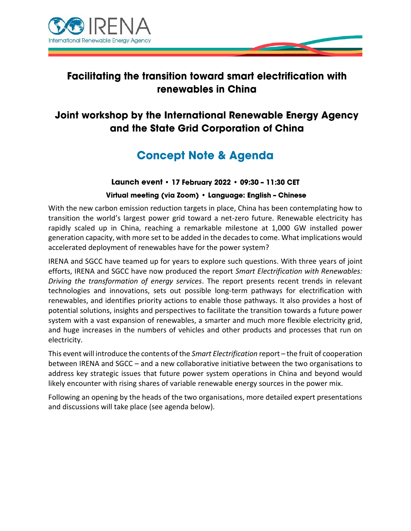

# **Facilitating the transition toward smart electrification with** renewables in China

# Joint workshop by the International Renewable Energy Agency and the State Grid Corporation of China

# **Concept Note & Agenda**

#### Launch event • 17 February 2022 • 09:30 - 11:30 CET

#### Virtual meeting (via Zoom) · Language: English - Chinese

With the new carbon emission reduction targets in place, China has been contemplating how to transition the world's largest power grid toward a net-zero future. Renewable electricity has rapidly scaled up in China, reaching a remarkable milestone at 1,000 GW installed power generation capacity, with more set to be added in the decades to come. What implications would accelerated deployment of renewables have for the power system?

IRENA and SGCC have teamed up for years to explore such questions. With three years of joint efforts, IRENA and SGCC have now produced the report *Smart Electrification with Renewables: Driving the transformation of energy services*. The report presents recent trends in relevant technologies and innovations, sets out possible long-term pathways for electrification with renewables, and identifies priority actions to enable those pathways. It also provides a host of potential solutions, insights and perspectives to facilitate the transition towards a future power system with a vast expansion of renewables, a smarter and much more flexible electricity grid, and huge increases in the numbers of vehicles and other products and processes that run on electricity.

This event will introduce the contents of the *Smart Electrification* report – the fruit of cooperation between IRENA and SGCC – and a new collaborative initiative between the two organisations to address key strategic issues that future power system operations in China and beyond would likely encounter with rising shares of variable renewable energy sources in the power mix.

Following an opening by the heads of the two organisations, more detailed expert presentations and discussions will take place (see agenda below).